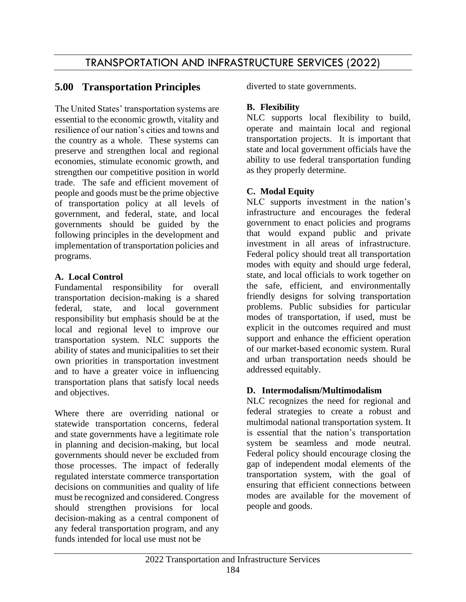# TRANSPORTATION AND INFRASTRUCTURE SERVICES (2022)

# **5.00 Transportation Principles**

The United States' transportation systems are essential to the economic growth, vitality and resilience of our nation's cities and towns and the country as a whole. These systems can preserve and strengthen local and regional economies, stimulate economic growth, and strengthen our competitive position in world trade. The safe and efficient movement of people and goods must be the prime objective of transportation policy at all levels of government, and federal, state, and local governments should be guided by the following principles in the development and implementation of transportation policies and programs.

# **A. Local Control**

Fundamental responsibility for overall transportation decision-making is a shared federal, state, and local government responsibility but emphasis should be at the local and regional level to improve our transportation system. NLC supports the ability of states and municipalities to set their own priorities in transportation investment and to have a greater voice in influencing transportation plans that satisfy local needs and objectives.

Where there are overriding national or statewide transportation concerns, federal and state governments have a legitimate role in planning and decision-making, but local governments should never be excluded from those processes. The impact of federally regulated interstate commerce transportation decisions on communities and quality of life must be recognized and considered. Congress should strengthen provisions for local decision-making as a central component of any federal transportation program, and any funds intended for local use must not be

diverted to state governments.

## **B. Flexibility**

NLC supports local flexibility to build, operate and maintain local and regional transportation projects. It is important that state and local government officials have the ability to use federal transportation funding as they properly determine.

## **C. Modal Equity**

NLC supports investment in the nation's infrastructure and encourages the federal government to enact policies and programs that would expand public and private investment in all areas of infrastructure. Federal policy should treat all transportation modes with equity and should urge federal, state, and local officials to work together on the safe, efficient, and environmentally friendly designs for solving transportation problems. Public subsidies for particular modes of transportation, if used, must be explicit in the outcomes required and must support and enhance the efficient operation of our market-based economic system. Rural and urban transportation needs should be addressed equitably.

### **D. Intermodalism/Multimodalism**

NLC recognizes the need for regional and federal strategies to create a robust and multimodal national transportation system. It is essential that the nation's transportation system be seamless and mode neutral. Federal policy should encourage closing the gap of independent modal elements of the transportation system, with the goal of ensuring that efficient connections between modes are available for the movement of people and goods.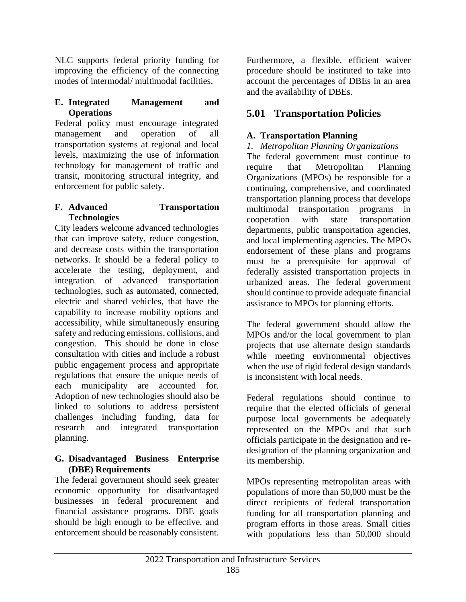NLC supports federal priority funding for improving the efficiency of the connecting modes of intermodal/ multimodal facilities.

## **E. Integrated Management and Operations**

Federal policy must encourage integrated management and operation of all transportation systems at regional and local levels, maximizing the use of information technology for management of traffic and transit, monitoring structural integrity, and enforcement for public safety.

### **F. Advanced Transportation Technologies**

City leaders welcome advanced technologies that can improve safety, reduce congestion, and decrease costs within the transportation networks. It should be a federal policy to accelerate the testing, deployment, and integration of advanced transportation technologies, such as automated, connected, electric and shared vehicles, that have the capability to increase mobility options and accessibility, while simultaneously ensuring safety and reducing emissions, collisions, and congestion. This should be done in close consultation with cities and include a robust public engagement process and appropriate regulations that ensure the unique needs of each municipality are accounted for. Adoption of new technologies should also be linked to solutions to address persistent challenges including funding, data for research and integrated transportation planning.

### **G. Disadvantaged Business Enterprise (DBE) Requirements**

The federal government should seek greater economic opportunity for disadvantaged businesses in federal procurement and financial assistance programs. DBE goals should be high enough to be effective, and enforcement should be reasonably consistent.

Furthermore, a flexible, efficient waiver procedure should be instituted to take into account the percentages of DBEs in an area and the availability of DBEs.

# **5.01 Transportation Policies**

# **A. Transportation Planning**

# *1. Metropolitan Planning Organizations*

The federal government must continue to require that Metropolitan Planning Organizations (MPOs) be responsible for a continuing, comprehensive, and coordinated transportation planning process that develops multimodal transportation programs in cooperation with state transportation departments, public transportation agencies, and local implementing agencies. The MPOs endorsement of these plans and programs must be a prerequisite for approval of federally assisted transportation projects in urbanized areas. The federal government should continue to provide adequate financial assistance to MPOs for planning efforts.

The federal government should allow the MPOs and/or the local government to plan projects that use alternate design standards while meeting environmental objectives when the use of rigid federal design standards is inconsistent with local needs.

Federal regulations should continue to require that the elected officials of general purpose local governments be adequately represented on the MPOs and that such officials participate in the designation and redesignation of the planning organization and its membership.

MPOs representing metropolitan areas with populations of more than 50,000 must be the direct recipients of federal transportation funding for all transportation planning and program efforts in those areas. Small cities with populations less than 50,000 should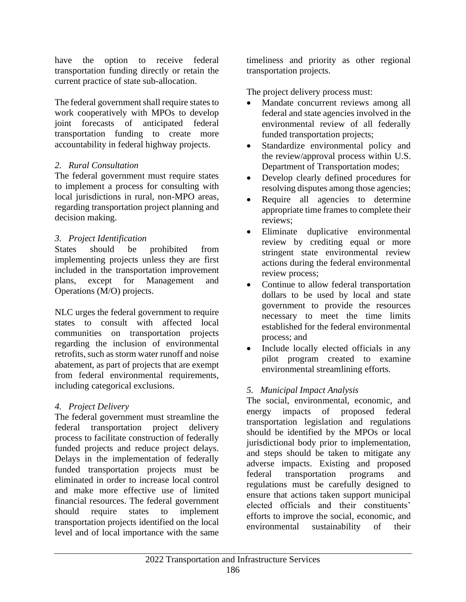have the option to receive federal transportation funding directly or retain the current practice of state sub-allocation.

The federal government shall require states to work cooperatively with MPOs to develop joint forecasts of anticipated federal transportation funding to create more accountability in federal highway projects.

# *2. Rural Consultation*

The federal government must require states to implement a process for consulting with local jurisdictions in rural, non-MPO areas, regarding transportation project planning and decision making.

## *3. Project Identification*

States should be prohibited from implementing projects unless they are first included in the transportation improvement plans, except for Management and Operations (M/O) projects.

NLC urges the federal government to require states to consult with affected local communities on transportation projects regarding the inclusion of environmental retrofits, such as storm water runoff and noise abatement, as part of projects that are exempt from federal environmental requirements, including categorical exclusions.

# *4. Project Delivery*

The federal government must streamline the federal transportation project delivery process to facilitate construction of federally funded projects and reduce project delays. Delays in the implementation of federally funded transportation projects must be eliminated in order to increase local control and make more effective use of limited financial resources. The federal government should require states to implement transportation projects identified on the local level and of local importance with the same

timeliness and priority as other regional transportation projects.

The project delivery process must:

- Mandate concurrent reviews among all federal and state agencies involved in the environmental review of all federally funded transportation projects;
- Standardize environmental policy and the review/approval process within U.S. Department of Transportation modes;
- Develop clearly defined procedures for resolving disputes among those agencies;
- Require all agencies to determine appropriate time frames to complete their reviews;
- Eliminate duplicative environmental review by crediting equal or more stringent state environmental review actions during the federal environmental review process;
- Continue to allow federal transportation dollars to be used by local and state government to provide the resources necessary to meet the time limits established for the federal environmental process; and
- Include locally elected officials in any pilot program created to examine environmental streamlining efforts.

# *5. Municipal Impact Analysis*

The social, environmental, economic, and energy impacts of proposed federal transportation legislation and regulations should be identified by the MPOs or local jurisdictional body prior to implementation, and steps should be taken to mitigate any adverse impacts. Existing and proposed federal transportation programs and regulations must be carefully designed to ensure that actions taken support municipal elected officials and their constituents' efforts to improve the social, economic, and environmental sustainability of their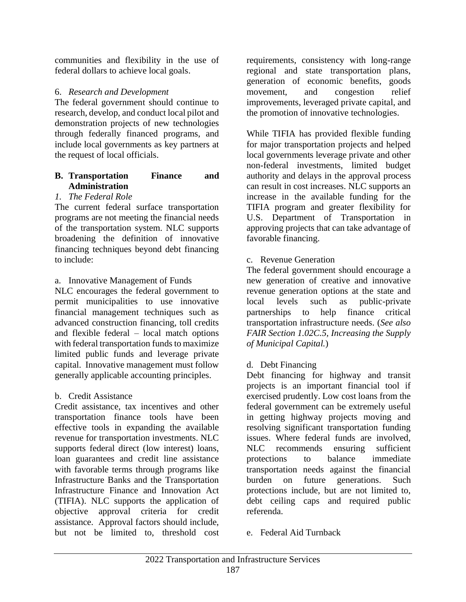communities and flexibility in the use of federal dollars to achieve local goals.

### 6. *Research and Development*

The federal government should continue to research, develop, and conduct local pilot and demonstration projects of new technologies through federally financed programs, and include local governments as key partners at the request of local officials.

### **B. Transportation Finance and Administration**

### *1. The Federal Role*

The current federal surface transportation programs are not meeting the financial needs of the transportation system. NLC supports broadening the definition of innovative financing techniques beyond debt financing to include:

### a. Innovative Management of Funds

NLC encourages the federal government to permit municipalities to use innovative financial management techniques such as advanced construction financing, toll credits and flexible federal – local match options with federal transportation funds to maximize limited public funds and leverage private capital. Innovative management must follow generally applicable accounting principles.

### b. Credit Assistance

Credit assistance, tax incentives and other transportation finance tools have been effective tools in expanding the available revenue for transportation investments. NLC supports federal direct (low interest) loans, loan guarantees and credit line assistance with favorable terms through programs like Infrastructure Banks and the Transportation Infrastructure Finance and Innovation Act (TIFIA). NLC supports the application of objective approval criteria for credit assistance. Approval factors should include, but not be limited to, threshold cost

requirements, consistency with long-range regional and state transportation plans, generation of economic benefits, goods movement, and congestion relief improvements, leveraged private capital, and the promotion of innovative technologies.

While TIFIA has provided flexible funding for major transportation projects and helped local governments leverage private and other non-federal investments, limited budget authority and delays in the approval process can result in cost increases. NLC supports an increase in the available funding for the TIFIA program and greater flexibility for U.S. Department of Transportation in approving projects that can take advantage of favorable financing.

### c. Revenue Generation

The federal government should encourage a new generation of creative and innovative revenue generation options at the state and local levels such as public-private partnerships to help finance critical transportation infrastructure needs. (*See also FAIR Section 1.02C.5, Increasing the Supply of Municipal Capital.*)

### d. Debt Financing

Debt financing for highway and transit projects is an important financial tool if exercised prudently. Low cost loans from the federal government can be extremely useful in getting highway projects moving and resolving significant transportation funding issues. Where federal funds are involved, NLC recommends ensuring sufficient protections to balance immediate transportation needs against the financial burden on future generations. Such protections include, but are not limited to, debt ceiling caps and required public referenda.

e. Federal Aid Turnback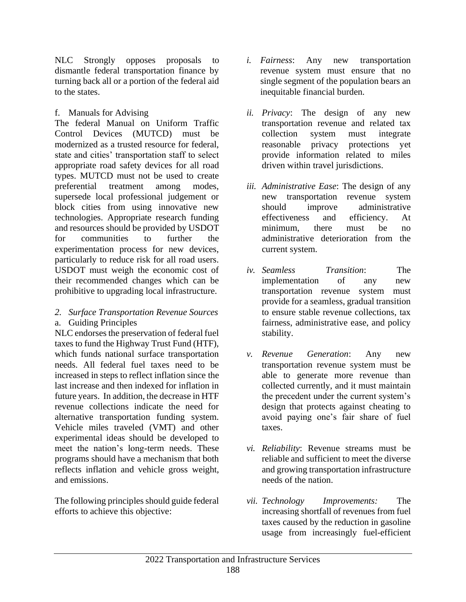NLC Strongly opposes proposals to dismantle federal transportation finance by turning back all or a portion of the federal aid to the states.

f. Manuals for Advising

The federal Manual on Uniform Traffic Control Devices (MUTCD) must be modernized as a trusted resource for federal, state and cities' transportation staff to select appropriate road safety devices for all road types. MUTCD must not be used to create preferential treatment among modes, supersede local professional judgement or block cities from using innovative new technologies. Appropriate research funding and resources should be provided by USDOT for communities to further the experimentation process for new devices, particularly to reduce risk for all road users. USDOT must weigh the economic cost of their recommended changes which can be prohibitive to upgrading local infrastructure.

#### *2. Surface Transportation Revenue Sources* a. Guiding Principles

NLC endorses the preservation of federal fuel taxes to fund the Highway Trust Fund (HTF), which funds national surface transportation needs. All federal fuel taxes need to be increased in steps to reflect inflation since the last increase and then indexed for inflation in future years. In addition, the decrease in HTF revenue collections indicate the need for alternative transportation funding system. Vehicle miles traveled (VMT) and other experimental ideas should be developed to meet the nation's long-term needs. These programs should have a mechanism that both reflects inflation and vehicle gross weight, and emissions.

The following principles should guide federal efforts to achieve this objective:

- *i. Fairness*: Any new transportation revenue system must ensure that no single segment of the population bears an inequitable financial burden.
- *ii. Privacy*: The design of any new transportation revenue and related tax collection system must integrate reasonable privacy protections yet provide information related to miles driven within travel jurisdictions.
- *iii. Administrative Ease*: The design of any new transportation revenue system should improve administrative effectiveness and efficiency. At minimum, there must be no administrative deterioration from the current system.
- *iv. Seamless Transition*: The implementation of any new transportation revenue system must provide for a seamless, gradual transition to ensure stable revenue collections, tax fairness, administrative ease, and policy stability.
- *v. Revenue Generation*: Any new transportation revenue system must be able to generate more revenue than collected currently, and it must maintain the precedent under the current system's design that protects against cheating to avoid paying one's fair share of fuel taxes.
- *vi. Reliability*: Revenue streams must be reliable and sufficient to meet the diverse and growing transportation infrastructure needs of the nation.
- *vii. Technology Improvements:* The increasing shortfall of revenues from fuel taxes caused by the reduction in gasoline usage from increasingly fuel-efficient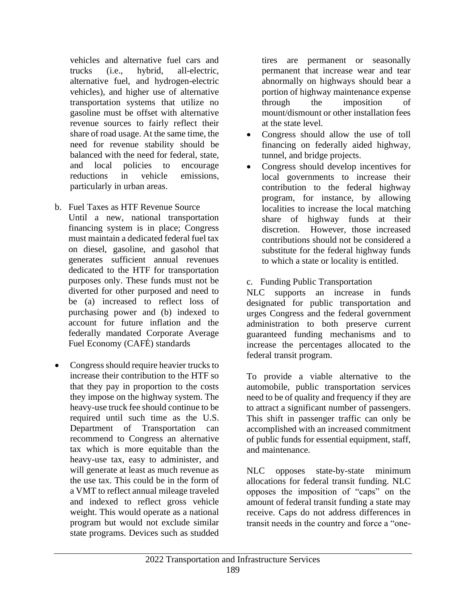vehicles and alternative fuel cars and trucks (i.e., hybrid, all-electric, alternative fuel, and hydrogen-electric vehicles), and higher use of alternative transportation systems that utilize no gasoline must be offset with alternative revenue sources to fairly reflect their share of road usage. At the same time, the need for revenue stability should be balanced with the need for federal, state, and local policies to encourage reductions in vehicle emissions, particularly in urban areas.

- b. Fuel Taxes as HTF Revenue Source Until a new, national transportation financing system is in place; Congress must maintain a dedicated federal fuel tax on diesel, gasoline, and gasohol that generates sufficient annual revenues dedicated to the HTF for transportation purposes only. These funds must not be diverted for other purposed and need to be (a) increased to reflect loss of purchasing power and (b) indexed to account for future inflation and the federally mandated Corporate Average Fuel Economy (CAFÉ) standards
- Congress should require heavier trucks to increase their contribution to the HTF so that they pay in proportion to the costs they impose on the highway system. The heavy-use truck fee should continue to be required until such time as the U.S. Department of Transportation can recommend to Congress an alternative tax which is more equitable than the heavy-use tax, easy to administer, and will generate at least as much revenue as the use tax. This could be in the form of a VMT to reflect annual mileage traveled and indexed to reflect gross vehicle weight. This would operate as a national program but would not exclude similar state programs. Devices such as studded

tires are permanent or seasonally permanent that increase wear and tear abnormally on highways should bear a portion of highway maintenance expense through the imposition of mount/dismount or other installation fees at the state level.

- Congress should allow the use of toll financing on federally aided highway, tunnel, and bridge projects.
- Congress should develop incentives for local governments to increase their contribution to the federal highway program, for instance, by allowing localities to increase the local matching share of highway funds at their discretion. However, those increased contributions should not be considered a substitute for the federal highway funds to which a state or locality is entitled.
- c. Funding Public Transportation

NLC supports an increase in funds designated for public transportation and urges Congress and the federal government administration to both preserve current guaranteed funding mechanisms and to increase the percentages allocated to the federal transit program.

To provide a viable alternative to the automobile, public transportation services need to be of quality and frequency if they are to attract a significant number of passengers. This shift in passenger traffic can only be accomplished with an increased commitment of public funds for essential equipment, staff, and maintenance.

NLC opposes state-by-state minimum allocations for federal transit funding. NLC opposes the imposition of "caps" on the amount of federal transit funding a state may receive. Caps do not address differences in transit needs in the country and force a "one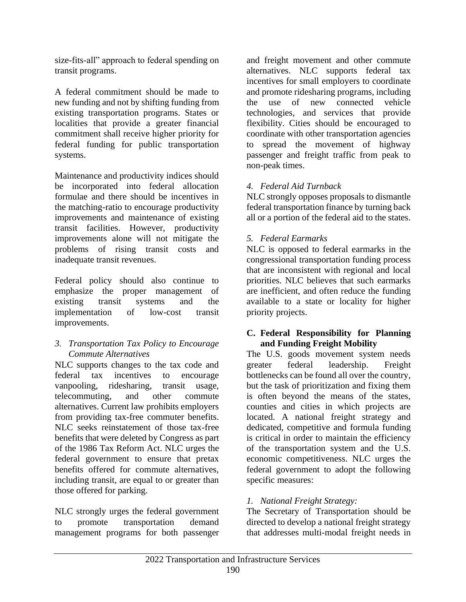size-fits-all" approach to federal spending on transit programs.

A federal commitment should be made to new funding and not by shifting funding from existing transportation programs. States or localities that provide a greater financial commitment shall receive higher priority for federal funding for public transportation systems.

Maintenance and productivity indices should be incorporated into federal allocation formulae and there should be incentives in the matching-ratio to encourage productivity improvements and maintenance of existing transit facilities. However, productivity improvements alone will not mitigate the problems of rising transit costs and inadequate transit revenues.

Federal policy should also continue to emphasize the proper management of existing transit systems and the implementation of low-cost transit improvements.

### *3. Transportation Tax Policy to Encourage Commute Alternatives*

NLC supports changes to the tax code and federal tax incentives to encourage vanpooling, ridesharing, transit usage, telecommuting, and other commute alternatives. Current law prohibits employers from providing tax-free commuter benefits. NLC seeks reinstatement of those tax-free benefits that were deleted by Congress as part of the 1986 Tax Reform Act. NLC urges the federal government to ensure that pretax benefits offered for commute alternatives, including transit, are equal to or greater than those offered for parking.

NLC strongly urges the federal government to promote transportation demand management programs for both passenger and freight movement and other commute alternatives. NLC supports federal tax incentives for small employers to coordinate and promote ridesharing programs, including the use of new connected vehicle technologies, and services that provide flexibility. Cities should be encouraged to coordinate with other transportation agencies to spread the movement of highway passenger and freight traffic from peak to non-peak times.

# *4. Federal Aid Turnback*

NLC strongly opposes proposals to dismantle federal transportation finance by turning back all or a portion of the federal aid to the states.

## *5. Federal Earmarks*

NLC is opposed to federal earmarks in the congressional transportation funding process that are inconsistent with regional and local priorities. NLC believes that such earmarks are inefficient, and often reduce the funding available to a state or locality for higher priority projects.

### **C. Federal Responsibility for Planning and Funding Freight Mobility**

The U.S. goods movement system needs greater federal leadership. Freight bottlenecks can be found all over the country, but the task of prioritization and fixing them is often beyond the means of the states, counties and cities in which projects are located. A national freight strategy and dedicated, competitive and formula funding is critical in order to maintain the efficiency of the transportation system and the U.S. economic competitiveness. NLC urges the federal government to adopt the following specific measures:

# *1. National Freight Strategy:*

The Secretary of Transportation should be directed to develop a national freight strategy that addresses multi-modal freight needs in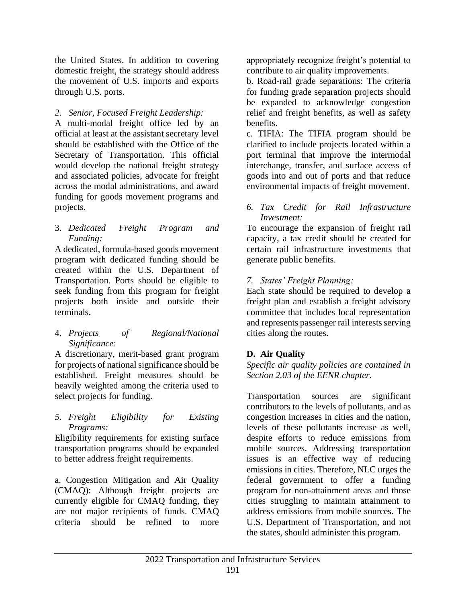the United States. In addition to covering domestic freight, the strategy should address the movement of U.S. imports and exports through U.S. ports.

### *2. Senior, Focused Freight Leadership:*

A multi-modal freight office led by an official at least at the assistant secretary level should be established with the Office of the Secretary of Transportation. This official would develop the national freight strategy and associated policies, advocate for freight across the modal administrations, and award funding for goods movement programs and projects.

3. *Dedicated Freight Program and Funding:* 

A dedicated, formula-based goods movement program with dedicated funding should be created within the U.S. Department of Transportation. Ports should be eligible to seek funding from this program for freight projects both inside and outside their terminals.

4. *Projects of Regional/National Significance*:

A discretionary, merit-based grant program for projects of national significance should be established. Freight measures should be heavily weighted among the criteria used to select projects for funding.

### *5. Freight Eligibility for Existing Programs:*

Eligibility requirements for existing surface transportation programs should be expanded to better address freight requirements.

a. Congestion Mitigation and Air Quality (CMAQ): Although freight projects are currently eligible for CMAQ funding, they are not major recipients of funds. CMAQ criteria should be refined to more

appropriately recognize freight's potential to contribute to air quality improvements.

b. Road-rail grade separations: The criteria for funding grade separation projects should be expanded to acknowledge congestion relief and freight benefits, as well as safety benefits.

c. TIFIA: The TIFIA program should be clarified to include projects located within a port terminal that improve the intermodal interchange, transfer, and surface access of goods into and out of ports and that reduce environmental impacts of freight movement.

*6. Tax Credit for Rail Infrastructure Investment:* 

To encourage the expansion of freight rail capacity, a tax credit should be created for certain rail infrastructure investments that generate public benefits.

*7. States' Freight Planning:* 

Each state should be required to develop a freight plan and establish a freight advisory committee that includes local representation and represents passenger rail interests serving cities along the routes.

# **D. Air Quality**

*Specific air quality policies are contained in Section 2.03 of the EENR chapter.*

Transportation sources are significant contributors to the levels of pollutants, and as congestion increases in cities and the nation, levels of these pollutants increase as well, despite efforts to reduce emissions from mobile sources. Addressing transportation issues is an effective way of reducing emissions in cities. Therefore, NLC urges the federal government to offer a funding program for non-attainment areas and those cities struggling to maintain attainment to address emissions from mobile sources. The U.S. Department of Transportation, and not the states, should administer this program.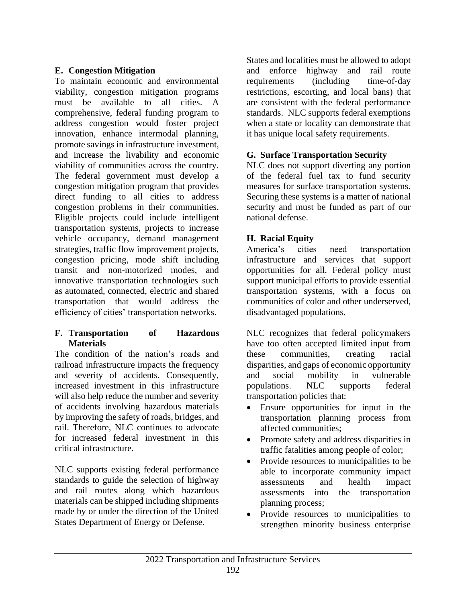## **E. Congestion Mitigation**

To maintain economic and environmental viability, congestion mitigation programs must be available to all cities. A comprehensive, federal funding program to address congestion would foster project innovation, enhance intermodal planning, promote savings in infrastructure investment, and increase the livability and economic viability of communities across the country. The federal government must develop a congestion mitigation program that provides direct funding to all cities to address congestion problems in their communities. Eligible projects could include intelligent transportation systems, projects to increase vehicle occupancy, demand management strategies, traffic flow improvement projects, congestion pricing, mode shift including transit and non-motorized modes, and innovative transportation technologies such as automated, connected, electric and shared transportation that would address the efficiency of cities' transportation networks.

### **F. Transportation of Hazardous Materials**

The condition of the nation's roads and railroad infrastructure impacts the frequency and severity of accidents. Consequently, increased investment in this infrastructure will also help reduce the number and severity of accidents involving hazardous materials by improving the safety of roads, bridges, and rail. Therefore, NLC continues to advocate for increased federal investment in this critical infrastructure.

NLC supports existing federal performance standards to guide the selection of highway and rail routes along which hazardous materials can be shipped including shipments made by or under the direction of the United States Department of Energy or Defense.

States and localities must be allowed to adopt and enforce highway and rail route requirements (including time-of-day restrictions, escorting, and local bans) that are consistent with the federal performance standards. NLC supports federal exemptions when a state or locality can demonstrate that it has unique local safety requirements.

## **G. Surface Transportation Security**

NLC does not support diverting any portion of the federal fuel tax to fund security measures for surface transportation systems. Securing these systems is a matter of national security and must be funded as part of our national defense.

## **H. Racial Equity**

America's cities need transportation infrastructure and services that support opportunities for all. Federal policy must support municipal efforts to provide essential transportation systems, with a focus on communities of color and other underserved, disadvantaged populations.

NLC recognizes that federal policymakers have too often accepted limited input from these communities, creating racial disparities, and gaps of economic opportunity and social mobility in vulnerable populations. NLC supports federal transportation policies that:

- Ensure opportunities for input in the transportation planning process from affected communities;
- Promote safety and address disparities in traffic fatalities among people of color;
- Provide resources to municipalities to be able to incorporate community impact assessments and health impact assessments into the transportation planning process;
- Provide resources to municipalities to strengthen minority business enterprise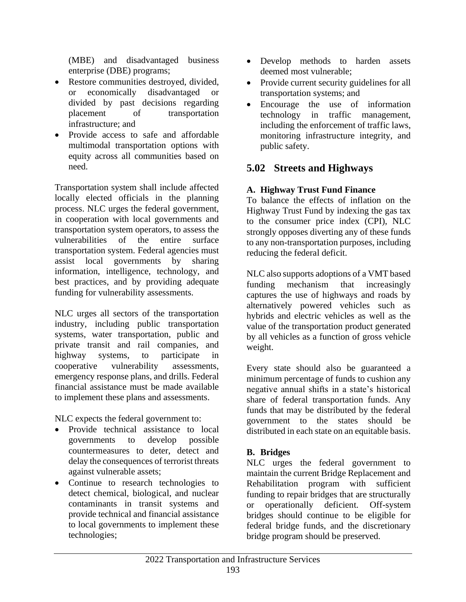(MBE) and disadvantaged business enterprise (DBE) programs;

- Restore communities destroyed, divided, or economically disadvantaged or divided by past decisions regarding placement of transportation infrastructure; and
- Provide access to safe and affordable multimodal transportation options with equity across all communities based on need.

Transportation system shall include affected locally elected officials in the planning process. NLC urges the federal government, in cooperation with local governments and transportation system operators, to assess the vulnerabilities of the entire surface transportation system. Federal agencies must assist local governments by sharing information, intelligence, technology, and best practices, and by providing adequate funding for vulnerability assessments.

NLC urges all sectors of the transportation industry, including public transportation systems, water transportation, public and private transit and rail companies, and highway systems, to participate in cooperative vulnerability assessments, emergency response plans, and drills. Federal financial assistance must be made available to implement these plans and assessments.

NLC expects the federal government to:

- Provide technical assistance to local governments to develop possible countermeasures to deter, detect and delay the consequences of terrorist threats against vulnerable assets;
- Continue to research technologies to detect chemical, biological, and nuclear contaminants in transit systems and provide technical and financial assistance to local governments to implement these technologies;
- Develop methods to harden assets deemed most vulnerable;
- Provide current security guidelines for all transportation systems; and
- Encourage the use of information technology in traffic management, including the enforcement of traffic laws, monitoring infrastructure integrity, and public safety.

# **5.02 Streets and Highways**

# **A. Highway Trust Fund Finance**

To balance the effects of inflation on the Highway Trust Fund by indexing the gas tax to the consumer price index (CPI), NLC strongly opposes diverting any of these funds to any non-transportation purposes, including reducing the federal deficit.

NLC also supports adoptions of a VMT based funding mechanism that increasingly captures the use of highways and roads by alternatively powered vehicles such as hybrids and electric vehicles as well as the value of the transportation product generated by all vehicles as a function of gross vehicle weight.

Every state should also be guaranteed a minimum percentage of funds to cushion any negative annual shifts in a state's historical share of federal transportation funds. Any funds that may be distributed by the federal government to the states should be distributed in each state on an equitable basis.

# **B. Bridges**

NLC urges the federal government to maintain the current Bridge Replacement and Rehabilitation program with sufficient funding to repair bridges that are structurally or operationally deficient. Off-system bridges should continue to be eligible for federal bridge funds, and the discretionary bridge program should be preserved.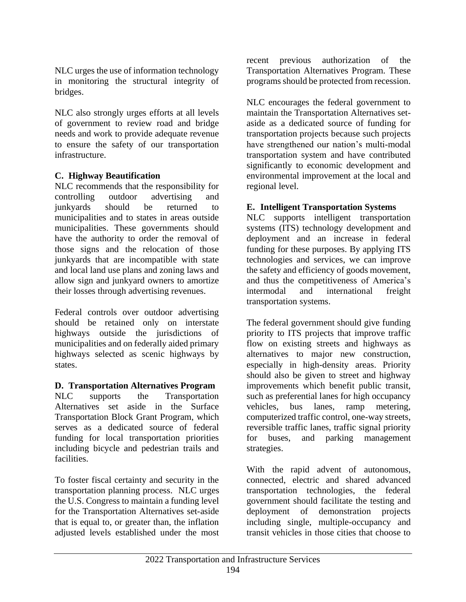NLC urges the use of information technology in monitoring the structural integrity of bridges.

NLC also strongly urges efforts at all levels of government to review road and bridge needs and work to provide adequate revenue to ensure the safety of our transportation infrastructure.

## **C. Highway Beautification**

NLC recommends that the responsibility for controlling outdoor advertising and junkyards should be returned to municipalities and to states in areas outside municipalities. These governments should have the authority to order the removal of those signs and the relocation of those junkyards that are incompatible with state and local land use plans and zoning laws and allow sign and junkyard owners to amortize their losses through advertising revenues.

Federal controls over outdoor advertising should be retained only on interstate highways outside the jurisdictions of municipalities and on federally aided primary highways selected as scenic highways by states.

### **D. Transportation Alternatives Program**

NLC supports the Transportation Alternatives set aside in the Surface Transportation Block Grant Program, which serves as a dedicated source of federal funding for local transportation priorities including bicycle and pedestrian trails and facilities.

To foster fiscal certainty and security in the transportation planning process. NLC urges the U.S. Congress to maintain a funding level for the Transportation Alternatives set-aside that is equal to, or greater than, the inflation adjusted levels established under the most

recent previous authorization of the Transportation Alternatives Program. These programs should be protected from recession.

NLC encourages the federal government to maintain the Transportation Alternatives setaside as a dedicated source of funding for transportation projects because such projects have strengthened our nation's multi-modal transportation system and have contributed significantly to economic development and environmental improvement at the local and regional level.

## **E. Intelligent Transportation Systems**

NLC supports intelligent transportation systems (ITS) technology development and deployment and an increase in federal funding for these purposes. By applying ITS technologies and services, we can improve the safety and efficiency of goods movement, and thus the competitiveness of America's intermodal and international freight transportation systems.

The federal government should give funding priority to ITS projects that improve traffic flow on existing streets and highways as alternatives to major new construction, especially in high-density areas. Priority should also be given to street and highway improvements which benefit public transit, such as preferential lanes for high occupancy vehicles, bus lanes, ramp metering, computerized traffic control, one-way streets, reversible traffic lanes, traffic signal priority for buses, and parking management strategies.

With the rapid advent of autonomous, connected, electric and shared advanced transportation technologies, the federal government should facilitate the testing and deployment of demonstration projects including single, multiple-occupancy and transit vehicles in those cities that choose to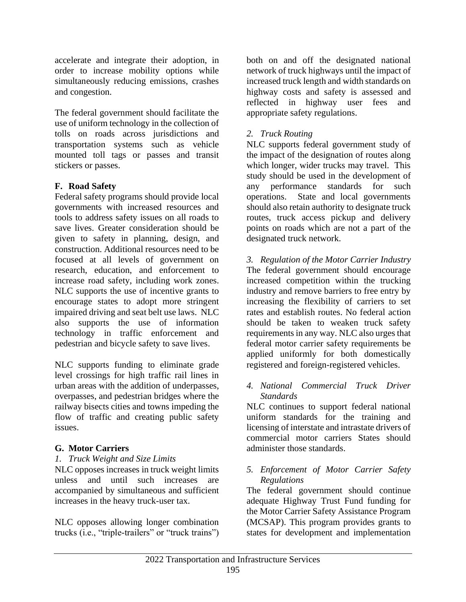accelerate and integrate their adoption, in order to increase mobility options while simultaneously reducing emissions, crashes and congestion.

The federal government should facilitate the use of uniform technology in the collection of tolls on roads across jurisdictions and transportation systems such as vehicle mounted toll tags or passes and transit stickers or passes.

## **F. Road Safety**

Federal safety programs should provide local governments with increased resources and tools to address safety issues on all roads to save lives. Greater consideration should be given to safety in planning, design, and construction. Additional resources need to be focused at all levels of government on research, education, and enforcement to increase road safety, including work zones. NLC supports the use of incentive grants to encourage states to adopt more stringent impaired driving and seat belt use laws. NLC also supports the use of information technology in traffic enforcement and pedestrian and bicycle safety to save lives.

NLC supports funding to eliminate grade level crossings for high traffic rail lines in urban areas with the addition of underpasses, overpasses, and pedestrian bridges where the railway bisects cities and towns impeding the flow of traffic and creating public safety issues.

### **G. Motor Carriers**

*1. Truck Weight and Size Limits*

NLC opposes increases in truck weight limits unless and until such increases are accompanied by simultaneous and sufficient increases in the heavy truck-user tax.

NLC opposes allowing longer combination trucks (i.e., "triple-trailers" or "truck trains") both on and off the designated national network of truck highways until the impact of increased truck length and width standards on highway costs and safety is assessed and reflected in highway user fees and appropriate safety regulations.

### *2. Truck Routing*

NLC supports federal government study of the impact of the designation of routes along which longer, wider trucks may travel. This study should be used in the development of any performance standards for such operations. State and local governments should also retain authority to designate truck routes, truck access pickup and delivery points on roads which are not a part of the designated truck network.

*3. Regulation of the Motor Carrier Industry* The federal government should encourage increased competition within the trucking industry and remove barriers to free entry by increasing the flexibility of carriers to set rates and establish routes. No federal action should be taken to weaken truck safety requirements in any way. NLC also urges that federal motor carrier safety requirements be applied uniformly for both domestically registered and foreign-registered vehicles.

#### *4. National Commercial Truck Driver Standards*

NLC continues to support federal national uniform standards for the training and licensing of interstate and intrastate drivers of commercial motor carriers States should administer those standards.

### *5. Enforcement of Motor Carrier Safety Regulations*

The federal government should continue adequate Highway Trust Fund funding for the Motor Carrier Safety Assistance Program (MCSAP). This program provides grants to states for development and implementation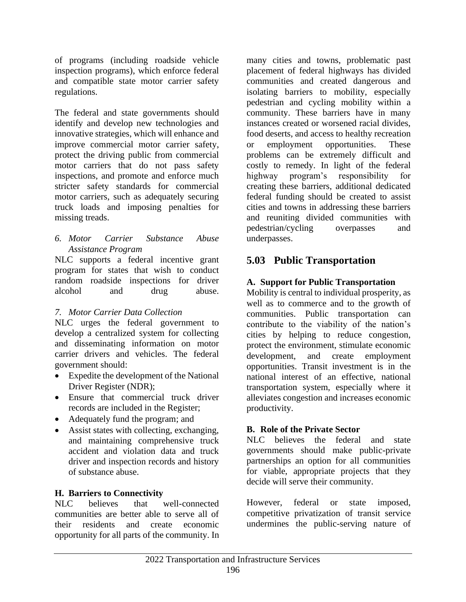of programs (including roadside vehicle inspection programs), which enforce federal and compatible state motor carrier safety regulations.

The federal and state governments should identify and develop new technologies and innovative strategies, which will enhance and improve commercial motor carrier safety, protect the driving public from commercial motor carriers that do not pass safety inspections, and promote and enforce much stricter safety standards for commercial motor carriers, such as adequately securing truck loads and imposing penalties for missing treads.

### *6. Motor Carrier Substance Abuse Assistance Program*

NLC supports a federal incentive grant program for states that wish to conduct random roadside inspections for driver alcohol and drug abuse.

# *7. Motor Carrier Data Collection*

NLC urges the federal government to develop a centralized system for collecting and disseminating information on motor carrier drivers and vehicles. The federal government should:

- Expedite the development of the National Driver Register (NDR);
- Ensure that commercial truck driver records are included in the Register;
- Adequately fund the program; and
- Assist states with collecting, exchanging, and maintaining comprehensive truck accident and violation data and truck driver and inspection records and history of substance abuse.

### **H. Barriers to Connectivity**

NLC believes that well-connected communities are better able to serve all of their residents and create economic opportunity for all parts of the community. In many cities and towns, problematic past placement of federal highways has divided communities and created dangerous and isolating barriers to mobility, especially pedestrian and cycling mobility within a community. These barriers have in many instances created or worsened racial divides, food deserts, and access to healthy recreation or employment opportunities. These problems can be extremely difficult and costly to remedy. In light of the federal highway program's responsibility for creating these barriers, additional dedicated federal funding should be created to assist cities and towns in addressing these barriers and reuniting divided communities with pedestrian/cycling overpasses and underpasses.

# **5.03 Public Transportation**

# **A. Support for Public Transportation**

Mobility is central to individual prosperity, as well as to commerce and to the growth of communities. Public transportation can contribute to the viability of the nation's cities by helping to reduce congestion, protect the environment, stimulate economic development, and create employment opportunities. Transit investment is in the national interest of an effective, national transportation system, especially where it alleviates congestion and increases economic productivity.

# **B. Role of the Private Sector**

NLC believes the federal and state governments should make public-private partnerships an option for all communities for viable, appropriate projects that they decide will serve their community.

However, federal or state imposed, competitive privatization of transit service undermines the public-serving nature of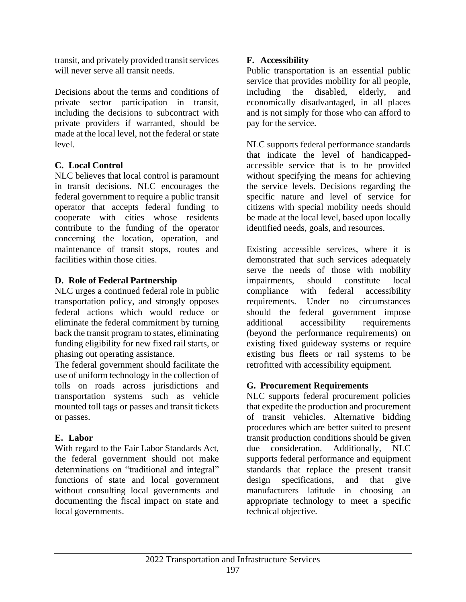transit, and privately provided transit services will never serve all transit needs.

Decisions about the terms and conditions of private sector participation in transit, including the decisions to subcontract with private providers if warranted, should be made at the local level, not the federal or state level.

# **C. Local Control**

NLC believes that local control is paramount in transit decisions. NLC encourages the federal government to require a public transit operator that accepts federal funding to cooperate with cities whose residents contribute to the funding of the operator concerning the location, operation, and maintenance of transit stops, routes and facilities within those cities.

### **D. Role of Federal Partnership**

NLC urges a continued federal role in public transportation policy, and strongly opposes federal actions which would reduce or eliminate the federal commitment by turning back the transit program to states, eliminating funding eligibility for new fixed rail starts, or phasing out operating assistance.

The federal government should facilitate the use of uniform technology in the collection of tolls on roads across jurisdictions and transportation systems such as vehicle mounted toll tags or passes and transit tickets or passes.

# **E. Labor**

With regard to the Fair Labor Standards Act, the federal government should not make determinations on "traditional and integral" functions of state and local government without consulting local governments and documenting the fiscal impact on state and local governments.

# **F. Accessibility**

Public transportation is an essential public service that provides mobility for all people, including the disabled, elderly, and economically disadvantaged, in all places and is not simply for those who can afford to pay for the service.

NLC supports federal performance standards that indicate the level of handicappedaccessible service that is to be provided without specifying the means for achieving the service levels. Decisions regarding the specific nature and level of service for citizens with special mobility needs should be made at the local level, based upon locally identified needs, goals, and resources.

Existing accessible services, where it is demonstrated that such services adequately serve the needs of those with mobility impairments, should constitute local compliance with federal accessibility requirements. Under no circumstances should the federal government impose additional accessibility requirements (beyond the performance requirements) on existing fixed guideway systems or require existing bus fleets or rail systems to be retrofitted with accessibility equipment.

# **G. Procurement Requirements**

NLC supports federal procurement policies that expedite the production and procurement of transit vehicles. Alternative bidding procedures which are better suited to present transit production conditions should be given due consideration. Additionally, NLC supports federal performance and equipment standards that replace the present transit design specifications, and that give manufacturers latitude in choosing an appropriate technology to meet a specific technical objective.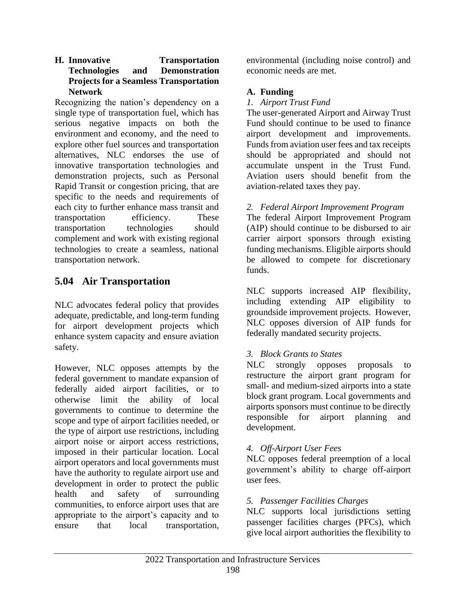### **H. Innovative Transportation Technologies and Demonstration Projects for a Seamless Transportation Network**

Recognizing the nation's dependency on a single type of transportation fuel, which has serious negative impacts on both the environment and economy, and the need to explore other fuel sources and transportation alternatives, NLC endorses the use of innovative transportation technologies and demonstration projects, such as Personal Rapid Transit or congestion pricing, that are specific to the needs and requirements of each city to further enhance mass transit and transportation efficiency. These transportation technologies should complement and work with existing regional technologies to create a seamless, national transportation network.

# **5.04 Air Transportation**

NLC advocates federal policy that provides adequate, predictable, and long-term funding for airport development projects which enhance system capacity and ensure aviation safety.

However, NLC opposes attempts by the federal government to mandate expansion of federally aided airport facilities, or to otherwise limit the ability of local governments to continue to determine the scope and type of airport facilities needed, or the type of airport use restrictions, including airport noise or airport access restrictions, imposed in their particular location. Local airport operators and local governments must have the authority to regulate airport use and development in order to protect the public health and safety of surrounding communities, to enforce airport uses that are appropriate to the airport's capacity and to ensure that local transportation,

environmental (including noise control) and economic needs are met.

# **A. Funding**

*1. Airport Trust Fund*

The user-generated Airport and Airway Trust Fund should continue to be used to finance airport development and improvements. Funds from aviation user fees and tax receipts should be appropriated and should not accumulate unspent in the Trust Fund. Aviation users should benefit from the aviation-related taxes they pay.

*2. Federal Airport Improvement Program*

The federal Airport Improvement Program (AIP) should continue to be disbursed to air carrier airport sponsors through existing funding mechanisms. Eligible airports should be allowed to compete for discretionary funds.

NLC supports increased AIP flexibility, including extending AIP eligibility to groundside improvement projects. However, NLC opposes diversion of AIP funds for federally mandated security projects.

# *3. Block Grants to States*

NLC strongly opposes proposals to restructure the airport grant program for small- and medium-sized airports into a state block grant program. Local governments and airports sponsors must continue to be directly responsible for airport planning and development.

### *4. Off-Airport User Fees*

NLC opposes federal preemption of a local government's ability to charge off-airport user fees.

### *5. Passenger Facilities Charges*

NLC supports local jurisdictions setting passenger facilities charges (PFCs), which give local airport authorities the flexibility to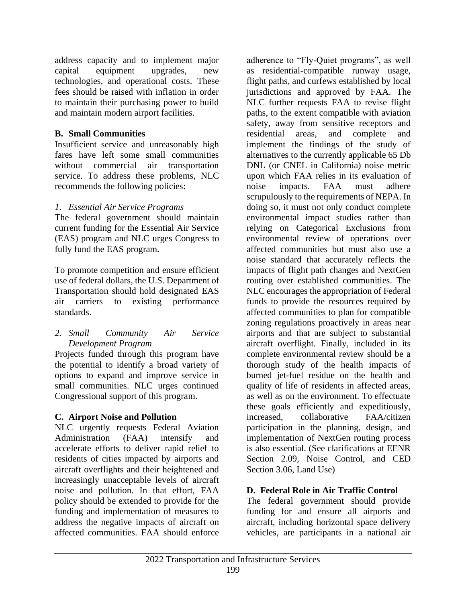address capacity and to implement major capital equipment upgrades, new technologies, and operational costs. These fees should be raised with inflation in order to maintain their purchasing power to build and maintain modern airport facilities.

## **B. Small Communities**

Insufficient service and unreasonably high fares have left some small communities without commercial air transportation service. To address these problems, NLC recommends the following policies:

## *1. Essential Air Service Programs*

The federal government should maintain current funding for the Essential Air Service (EAS) program and NLC urges Congress to fully fund the EAS program.

To promote competition and ensure efficient use of federal dollars, the U.S. Department of Transportation should hold designated EAS air carriers to existing performance standards.

### *2. Small Community Air Service Development Program*

Projects funded through this program have the potential to identify a broad variety of options to expand and improve service in small communities. NLC urges continued Congressional support of this program.

# **C. Airport Noise and Pollution**

NLC urgently requests Federal Aviation Administration (FAA) intensify and accelerate efforts to deliver rapid relief to residents of cities impacted by airports and aircraft overflights and their heightened and increasingly unacceptable levels of aircraft noise and pollution. In that effort, FAA policy should be extended to provide for the funding and implementation of measures to address the negative impacts of aircraft on affected communities. FAA should enforce

adherence to "Fly-Quiet programs", as well as residential-compatible runway usage, flight paths, and curfews established by local jurisdictions and approved by FAA. The NLC further requests FAA to revise flight paths, to the extent compatible with aviation safety, away from sensitive receptors and residential areas, and complete and implement the findings of the study of alternatives to the currently applicable 65 Db DNL (or CNEL in California) noise metric upon which FAA relies in its evaluation of noise impacts. FAA must adhere scrupulously to the requirements of NEPA. In doing so, it must not only conduct complete environmental impact studies rather than relying on Categorical Exclusions from environmental review of operations over affected communities but must also use a noise standard that accurately reflects the impacts of flight path changes and NextGen routing over established communities. The NLC encourages the appropriation of Federal funds to provide the resources required by affected communities to plan for compatible zoning regulations proactively in areas near airports and that are subject to substantial aircraft overflight. Finally, included in its complete environmental review should be a thorough study of the health impacts of burned jet-fuel residue on the health and quality of life of residents in affected areas, as well as on the environment. To effectuate these goals efficiently and expeditiously, increased, collaborative FAA/citizen participation in the planning, design, and implementation of NextGen routing process is also essential. (See clarifications at EENR Section 2.09, Noise Control, and CED Section 3.06, Land Use)

# **D. Federal Role in Air Traffic Control**

The federal government should provide funding for and ensure all airports and aircraft, including horizontal space delivery vehicles, are participants in a national air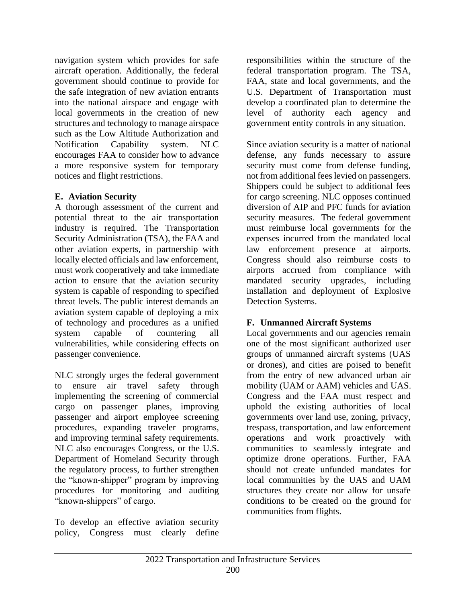navigation system which provides for safe aircraft operation. Additionally, the federal government should continue to provide for the safe integration of new aviation entrants into the national airspace and engage with local governments in the creation of new structures and technology to manage airspace such as the Low Altitude Authorization and Notification Capability system. NLC encourages FAA to consider how to advance a more responsive system for temporary notices and flight restrictions.

## **E. Aviation Security**

A thorough assessment of the current and potential threat to the air transportation industry is required. The Transportation Security Administration (TSA), the FAA and other aviation experts, in partnership with locally elected officials and law enforcement, must work cooperatively and take immediate action to ensure that the aviation security system is capable of responding to specified threat levels. The public interest demands an aviation system capable of deploying a mix of technology and procedures as a unified system capable of countering all vulnerabilities, while considering effects on passenger convenience.

NLC strongly urges the federal government to ensure air travel safety through implementing the screening of commercial cargo on passenger planes, improving passenger and airport employee screening procedures, expanding traveler programs, and improving terminal safety requirements. NLC also encourages Congress, or the U.S. Department of Homeland Security through the regulatory process, to further strengthen the "known-shipper" program by improving procedures for monitoring and auditing "known-shippers" of cargo.

To develop an effective aviation security policy, Congress must clearly define responsibilities within the structure of the federal transportation program. The TSA, FAA, state and local governments, and the U.S. Department of Transportation must develop a coordinated plan to determine the level of authority each agency and government entity controls in any situation.

Since aviation security is a matter of national defense, any funds necessary to assure security must come from defense funding, not from additional fees levied on passengers. Shippers could be subject to additional fees for cargo screening. NLC opposes continued diversion of AIP and PFC funds for aviation security measures. The federal government must reimburse local governments for the expenses incurred from the mandated local law enforcement presence at airports. Congress should also reimburse costs to airports accrued from compliance with mandated security upgrades, including installation and deployment of Explosive Detection Systems.

# **F. Unmanned Aircraft Systems**

Local governments and our agencies remain one of the most significant authorized user groups of unmanned aircraft systems (UAS or drones), and cities are poised to benefit from the entry of new advanced urban air mobility (UAM or AAM) vehicles and UAS. Congress and the FAA must respect and uphold the existing authorities of local governments over land use, zoning, privacy, trespass, transportation, and law enforcement operations and work proactively with communities to seamlessly integrate and optimize drone operations. Further, FAA should not create unfunded mandates for local communities by the UAS and UAM structures they create nor allow for unsafe conditions to be created on the ground for communities from flights.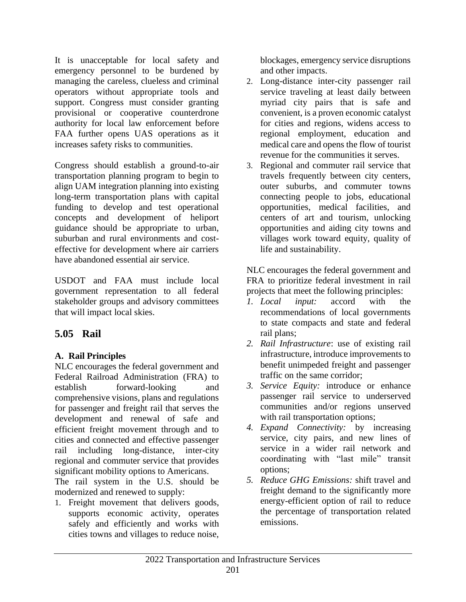It is unacceptable for local safety and emergency personnel to be burdened by managing the careless, clueless and criminal operators without appropriate tools and support. Congress must consider granting provisional or cooperative counterdrone authority for local law enforcement before FAA further opens UAS operations as it increases safety risks to communities.

Congress should establish a ground-to-air transportation planning program to begin to align UAM integration planning into existing long-term transportation plans with capital funding to develop and test operational concepts and development of heliport guidance should be appropriate to urban, suburban and rural environments and costeffective for development where air carriers have abandoned essential air service.

USDOT and FAA must include local government representation to all federal stakeholder groups and advisory committees that will impact local skies.

# **5.05 Rail**

# **A. Rail Principles**

NLC encourages the federal government and Federal Railroad Administration (FRA) to establish forward-looking and comprehensive visions, plans and regulations for passenger and freight rail that serves the development and renewal of safe and efficient freight movement through and to cities and connected and effective passenger rail including long-distance, inter-city regional and commuter service that provides significant mobility options to Americans.

The rail system in the U.S. should be modernized and renewed to supply:

1. Freight movement that delivers goods, supports economic activity, operates safely and efficiently and works with cities towns and villages to reduce noise,

blockages, emergency service disruptions and other impacts.

- 2. Long-distance inter-city passenger rail service traveling at least daily between myriad city pairs that is safe and convenient, is a proven economic catalyst for cities and regions, widens access to regional employment, education and medical care and opens the flow of tourist revenue for the communities it serves.
- 3. Regional and commuter rail service that travels frequently between city centers, outer suburbs, and commuter towns connecting people to jobs, educational opportunities, medical facilities, and centers of art and tourism, unlocking opportunities and aiding city towns and villages work toward equity, quality of life and sustainability.

NLC encourages the federal government and FRA to prioritize federal investment in rail projects that meet the following principles:

- *1. Local input:* accord with the recommendations of local governments to state compacts and state and federal rail plans;
- *2. Rail Infrastructure*: use of existing rail infrastructure, introduce improvements to benefit unimpeded freight and passenger traffic on the same corridor;
- *3. Service Equity:* introduce or enhance passenger rail service to underserved communities and/or regions unserved with rail transportation options;
- *4. Expand Connectivity:* by increasing service, city pairs, and new lines of service in a wider rail network and coordinating with "last mile" transit options;
- *5. Reduce GHG Emissions:* shift travel and freight demand to the significantly more energy-efficient option of rail to reduce the percentage of transportation related emissions.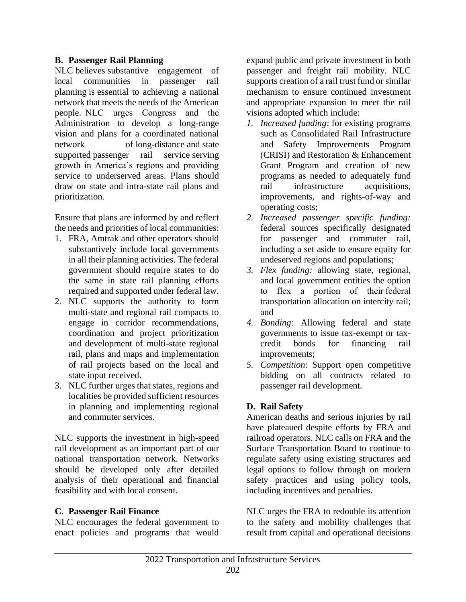### **B. Passenger Rail Planning**

NLC believes substantive engagement of local communities in passenger rail planning is essential to achieving a national network that meets the needs of the American people.  NLC urges Congress and the Administration to develop a long-range vision and plans for a coordinated national network of long-distance and state supported passenger rail service serving growth in America's regions and providing service to underserved areas. Plans should draw on state and intra-state rail plans and prioritization.

Ensure that plans are informed by and reflect the needs and priorities of local communities:

- 1. FRA, Amtrak and other operators should substantively include local governments in all their planning activities. The federal government should require states to do the same in state rail planning efforts required and supported under federal law.
- 2. NLC supports the authority to form multi-state and regional rail compacts to engage in corridor recommendations, coordination and project prioritization and development of multi-state regional rail, plans and maps and implementation of rail projects based on the local and state input received.
- 3. NLC further urges that states, regions and localities be provided sufficient resources in planning and implementing regional and commuter services.

NLC supports the investment in high-speed rail development as an important part of our national transportation network. Networks should be developed only after detailed analysis of their operational and financial feasibility and with local consent.

### **C. Passenger Rail Finance**

NLC encourages the federal government to enact policies and programs that would expand public and private investment in both passenger and freight rail mobility. NLC supports creation of a rail trust fund or similar mechanism to ensure continued investment and appropriate expansion to meet the rail visions adopted which include:

- *1. Increased funding*: for existing programs such as Consolidated Rail Infrastructure and Safety Improvements Program (CRISI) and Restoration & Enhancement Grant Program and creation of new programs as needed to adequately fund rail infrastructure acquisitions, improvements, and rights-of-way and operating costs;
- *2. Increased passenger specific funding:* federal sources specifically designated for passenger and commuter rail, including a set aside to ensure equity for undeserved regions and populations;
- *3. Flex funding:* allowing state, regional, and local government entities the option to flex a portion of their federal transportation allocation on intercity rail; and
- *4. Bonding:* Allowing federal and state governments to issue tax-exempt or taxcredit bonds for financing rail improvements;
- *5. Competition*: Support open competitive bidding on all contracts related to passenger rail development.

### **D. Rail Safety**

American deaths and serious injuries by rail have plateaued despite efforts by FRA and railroad operators. NLC calls on FRA and the Surface Transportation Board to continue to regulate safety using existing structures and legal options to follow through on modern safety practices and using policy tools, including incentives and penalties.

NLC urges the FRA to redouble its attention to the safety and mobility challenges that result from capital and operational decisions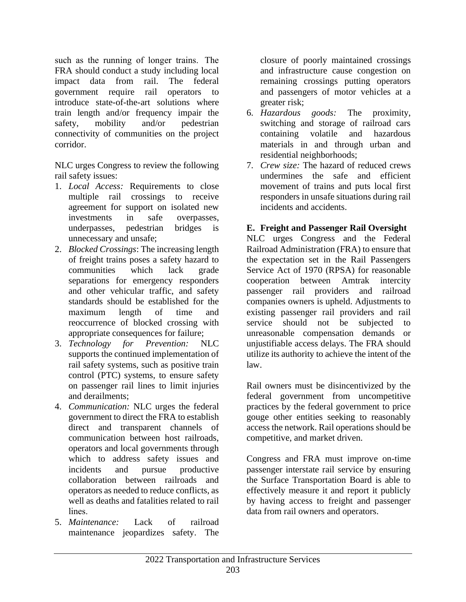such as the running of longer trains.  The FRA should conduct a study including local impact data from rail. The federal government require rail operators to introduce state-of-the-art solutions where train length and/or frequency impair the safety, mobility and/or pedestrian connectivity of communities on the project corridor.

NLC urges Congress to review the following rail safety issues:

- 1. *Local Access:* Requirements to close multiple rail crossings to receive agreement for support on isolated new investments in safe overpasses, underpasses, pedestrian bridges is unnecessary and unsafe;
- 2. *Blocked Crossings*: The increasing length of freight trains poses a safety hazard to communities which lack grade separations for emergency responders and other vehicular traffic, and safety standards should be established for the maximum length of time and reoccurrence of blocked crossing with appropriate consequences for failure;
- 3. *Technology for Prevention:* NLC supports the continued implementation of rail safety systems, such as positive train control (PTC) systems, to ensure safety on passenger rail lines to limit injuries and derailments;
- 4. *Communication:* NLC urges the federal government to direct the FRA to establish direct and transparent channels of communication between host railroads, operators and local governments through which to address safety issues and incidents and pursue productive collaboration between railroads and operators as needed to reduce conflicts, as well as deaths and fatalities related to rail lines.
- 5. *Maintenance:* Lack of railroad maintenance jeopardizes safety. The

closure of poorly maintained crossings and infrastructure cause congestion on remaining crossings putting operators and passengers of motor vehicles at a greater risk;

- 6. *Hazardous goods:* The proximity, switching and storage of railroad cars containing volatile and hazardous materials in and through urban and residential neighborhoods;
- 7. *Crew size:* The hazard of reduced crews undermines the safe and efficient movement of trains and puts local first responders in unsafe situations during rail incidents and accidents.

### **E. Freight and Passenger Rail Oversight**

NLC urges Congress and the Federal Railroad Administration (FRA) to ensure that the expectation set in the Rail Passengers Service Act of 1970 (RPSA) for reasonable cooperation between Amtrak intercity passenger rail providers and railroad companies owners is upheld. Adjustments to existing passenger rail providers and rail service should not be subjected to unreasonable compensation demands or unjustifiable access delays. The FRA should utilize its authority to achieve the intent of the law.

Rail owners must be disincentivized by the federal government from uncompetitive practices by the federal government to price gouge other entities seeking to reasonably access the network. Rail operations should be competitive, and market driven.

Congress and FRA must improve on-time passenger interstate rail service by ensuring the Surface Transportation Board is able to effectively measure it and report it publicly by having access to freight and passenger data from rail owners and operators.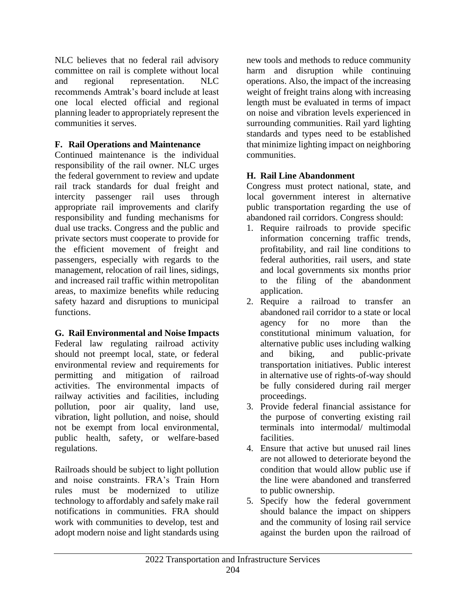NLC believes that no federal rail advisory committee on rail is complete without local and regional representation. NLC recommends Amtrak's board include at least one local elected official and regional planning leader to appropriately represent the communities it serves.

# **F. Rail Operations and Maintenance**

Continued maintenance is the individual responsibility of the rail owner. NLC urges the federal government to review and update rail track standards for dual freight and intercity passenger rail uses through appropriate rail improvements and clarify responsibility and funding mechanisms for dual use tracks. Congress and the public and private sectors must cooperate to provide for the efficient movement of freight and passengers, especially with regards to the management, relocation of rail lines, sidings, and increased rail traffic within metropolitan areas, to maximize benefits while reducing safety hazard and disruptions to municipal functions.

# **G. Rail Environmental and Noise Impacts**

Federal law regulating railroad activity should not preempt local, state, or federal environmental review and requirements for permitting and mitigation of railroad activities. The environmental impacts of railway activities and facilities, including pollution, poor air quality, land use, vibration, light pollution, and noise, should not be exempt from local environmental, public health, safety, or welfare-based regulations.

Railroads should be subject to light pollution and noise constraints. FRA's Train Horn rules must be modernized to utilize technology to affordably and safely make rail notifications in communities. FRA should work with communities to develop, test and adopt modern noise and light standards using

new tools and methods to reduce community harm and disruption while continuing operations. Also, the impact of the increasing weight of freight trains along with increasing length must be evaluated in terms of impact on noise and vibration levels experienced in surrounding communities. Rail yard lighting standards and types need to be established that minimize lighting impact on neighboring communities.

# **H. Rail Line Abandonment**

Congress must protect national, state, and local government interest in alternative public transportation regarding the use of abandoned rail corridors. Congress should:

- 1. Require railroads to provide specific information concerning traffic trends, profitability, and rail line conditions to federal authorities, rail users, and state and local governments six months prior to the filing of the abandonment application.
- 2. Require a railroad to transfer an abandoned rail corridor to a state or local agency for no more than the constitutional minimum valuation, for alternative public uses including walking and biking, and public-private transportation initiatives. Public interest in alternative use of rights-of-way should be fully considered during rail merger proceedings.
- 3. Provide federal financial assistance for the purpose of converting existing rail terminals into intermodal/ multimodal facilities.
- 4. Ensure that active but unused rail lines are not allowed to deteriorate beyond the condition that would allow public use if the line were abandoned and transferred to public ownership.
- 5. Specify how the federal government should balance the impact on shippers and the community of losing rail service against the burden upon the railroad of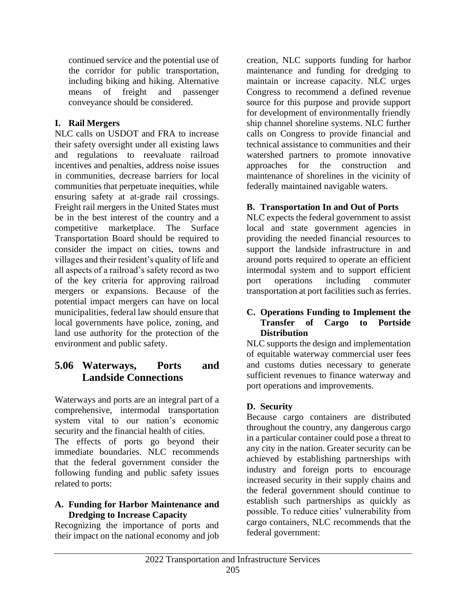continued service and the potential use of the corridor for public transportation, including biking and hiking. Alternative means of freight and passenger conveyance should be considered.

## **I. Rail Mergers**

NLC calls on USDOT and FRA to increase their safety oversight under all existing laws and regulations to reevaluate railroad incentives and penalties, address noise issues in communities, decrease barriers for local communities that perpetuate inequities, while ensuring safety at at-grade rail crossings. Freight rail mergers in the United States must be in the best interest of the country and a competitive marketplace. The Surface Transportation Board should be required to consider the impact on cities, towns and villages and their resident's quality of life and all aspects of a railroad's safety record as two of the key criteria for approving railroad mergers or expansions. Because of the potential impact mergers can have on local municipalities, federal law should ensure that local governments have police, zoning, and land use authority for the protection of the environment and public safety.

# **5.06 Waterways, Ports and Landside Connections**

Waterways and ports are an integral part of a comprehensive, intermodal transportation system vital to our nation's economic security and the financial health of cities.

The effects of ports go beyond their immediate boundaries. NLC recommends that the federal government consider the following funding and public safety issues related to ports:

### **A. Funding for Harbor Maintenance and Dredging to Increase Capacity**

Recognizing the importance of ports and their impact on the national economy and job creation, NLC supports funding for harbor maintenance and funding for dredging to maintain or increase capacity. NLC urges Congress to recommend a defined revenue source for this purpose and provide support for development of environmentally friendly ship channel shoreline systems. NLC further calls on Congress to provide financial and technical assistance to communities and their watershed partners to promote innovative approaches for the construction and maintenance of shorelines in the vicinity of federally maintained navigable waters.

### **B. Transportation In and Out of Ports**

NLC expects the federal government to assist local and state government agencies in providing the needed financial resources to support the landside infrastructure in and around ports required to operate an efficient intermodal system and to support efficient port operations including commuter transportation at port facilities such as ferries.

### **C. Operations Funding to Implement the Transfer of Cargo to Portside Distribution**

NLC supports the design and implementation of equitable waterway commercial user fees and customs duties necessary to generate sufficient revenues to finance waterway and port operations and improvements.

### **D. Security**

Because cargo containers are distributed throughout the country, any dangerous cargo in a particular container could pose a threat to any city in the nation. Greater security can be achieved by establishing partnerships with industry and foreign ports to encourage increased security in their supply chains and the federal government should continue to establish such partnerships as quickly as possible. To reduce cities' vulnerability from cargo containers, NLC recommends that the federal government: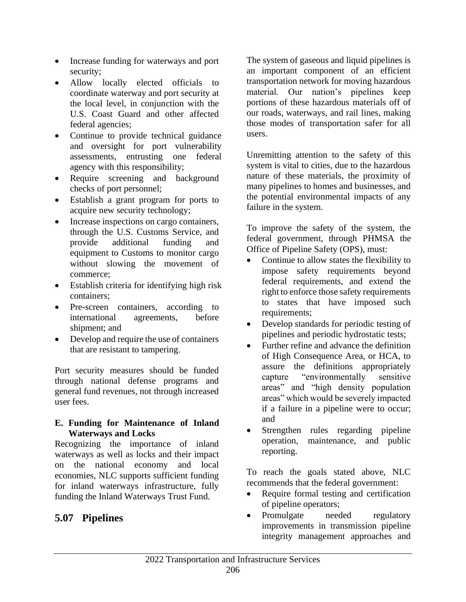- Increase funding for waterways and port security;
- Allow locally elected officials to coordinate waterway and port security at the local level, in conjunction with the U.S. Coast Guard and other affected federal agencies;
- Continue to provide technical guidance and oversight for port vulnerability assessments, entrusting one federal agency with this responsibility;
- Require screening and background checks of port personnel;
- Establish a grant program for ports to acquire new security technology;
- Increase inspections on cargo containers, through the U.S. Customs Service, and provide additional funding and equipment to Customs to monitor cargo without slowing the movement of commerce;
- Establish criteria for identifying high risk containers;
- Pre-screen containers, according to international agreements, before shipment; and
- Develop and require the use of containers that are resistant to tampering.

Port security measures should be funded through national defense programs and general fund revenues, not through increased user fees.

### **E. Funding for Maintenance of Inland Waterways and Locks**

Recognizing the importance of inland waterways as well as locks and their impact on the national economy and local economies, NLC supports sufficient funding for inland waterways infrastructure, fully funding the Inland Waterways Trust Fund.

# **5.07 Pipelines**

The system of gaseous and liquid pipelines is an important component of an efficient transportation network for moving hazardous material. Our nation's pipelines keep portions of these hazardous materials off of our roads, waterways, and rail lines, making those modes of transportation safer for all users.

Unremitting attention to the safety of this system is vital to cities, due to the hazardous nature of these materials, the proximity of many pipelines to homes and businesses, and the potential environmental impacts of any failure in the system.

To improve the safety of the system, the federal government, through PHMSA the Office of Pipeline Safety (OPS), must:

- Continue to allow states the flexibility to impose safety requirements beyond federal requirements, and extend the right to enforce those safety requirements to states that have imposed such requirements;
- Develop standards for periodic testing of pipelines and periodic hydrostatic tests;
- Further refine and advance the definition of High Consequence Area, or HCA, to assure the definitions appropriately capture "environmentally sensitive areas" and "high density population areas" which would be severely impacted if a failure in a pipeline were to occur; and
- Strengthen rules regarding pipeline operation, maintenance, and public reporting.

To reach the goals stated above, NLC recommends that the federal government:

- Require formal testing and certification of pipeline operators;
- Promulgate needed regulatory improvements in transmission pipeline integrity management approaches and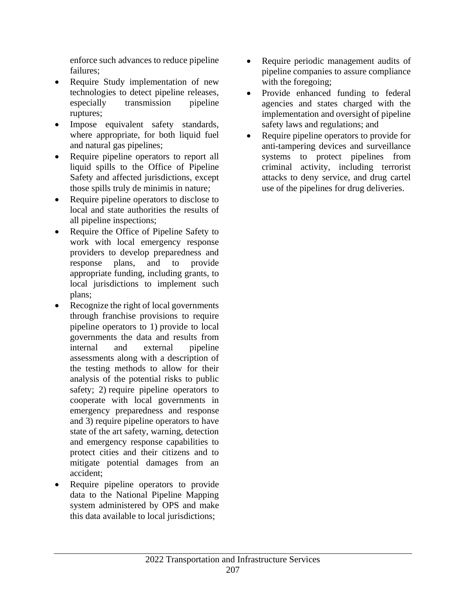enforce such advances to reduce pipeline failures;

- Require Study implementation of new technologies to detect pipeline releases, especially transmission pipeline ruptures;
- Impose equivalent safety standards, where appropriate, for both liquid fuel and natural gas pipelines;
- Require pipeline operators to report all liquid spills to the Office of Pipeline Safety and affected jurisdictions, except those spills truly de minimis in nature;
- Require pipeline operators to disclose to local and state authorities the results of all pipeline inspections;
- Require the Office of Pipeline Safety to work with local emergency response providers to develop preparedness and response plans, and to provide appropriate funding, including grants, to local jurisdictions to implement such plans;
- Recognize the right of local governments through franchise provisions to require pipeline operators to 1) provide to local governments the data and results from internal and external pipeline assessments along with a description of the testing methods to allow for their analysis of the potential risks to public safety; 2) require pipeline operators to cooperate with local governments in emergency preparedness and response and 3) require pipeline operators to have state of the art safety, warning, detection and emergency response capabilities to protect cities and their citizens and to mitigate potential damages from an accident;
- Require pipeline operators to provide data to the National Pipeline Mapping system administered by OPS and make this data available to local jurisdictions;
- Require periodic management audits of pipeline companies to assure compliance with the foregoing;
- Provide enhanced funding to federal agencies and states charged with the implementation and oversight of pipeline safety laws and regulations; and
- Require pipeline operators to provide for anti-tampering devices and surveillance systems to protect pipelines from criminal activity, including terrorist attacks to deny service, and drug cartel use of the pipelines for drug deliveries.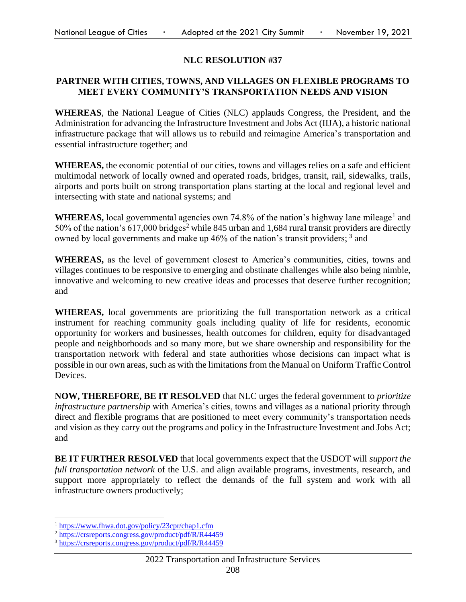### **NLC RESOLUTION #37**

#### **PARTNER WITH CITIES, TOWNS, AND VILLAGES ON FLEXIBLE PROGRAMS TO MEET EVERY COMMUNITY'S TRANSPORTATION NEEDS AND VISION**

**WHEREAS**, the National League of Cities (NLC) applauds Congress, the President, and the Administration for advancing the Infrastructure Investment and Jobs Act (IIJA), a historic national infrastructure package that will allows us to rebuild and reimagine America's transportation and essential infrastructure together; and

**WHEREAS,** the economic potential of our cities, towns and villages relies on a safe and efficient multimodal network of locally owned and operated roads, bridges, transit, rail, sidewalks, trails, airports and ports built on strong transportation plans starting at the local and regional level and intersecting with state and national systems; and

WHEREAS, local governmental agencies own 74.8% of the nation's highway lane mileage<sup>1</sup> and 50% of the nation's 617,000 bridges<sup>2</sup> while 845 urban and 1,684 rural transit providers are directly owned by local governments and make up 46% of the nation's transit providers;  $3$  and

**WHEREAS,** as the level of government closest to America's communities, cities, towns and villages continues to be responsive to emerging and obstinate challenges while also being nimble, innovative and welcoming to new creative ideas and processes that deserve further recognition; and

**WHEREAS,** local governments are prioritizing the full transportation network as a critical instrument for reaching community goals including quality of life for residents, economic opportunity for workers and businesses, health outcomes for children, equity for disadvantaged people and neighborhoods and so many more, but we share ownership and responsibility for the transportation network with federal and state authorities whose decisions can impact what is possible in our own areas, such as with the limitations from the Manual on Uniform Traffic Control Devices.

**NOW, THEREFORE, BE IT RESOLVED** that NLC urges the federal government to *prioritize infrastructure partnership* with America's cities, towns and villages as a national priority through direct and flexible programs that are positioned to meet every community's transportation needs and vision as they carry out the programs and policy in the Infrastructure Investment and Jobs Act; and

**BE IT FURTHER RESOLVED** that local governments expect that the USDOT will *support the full transportation network* of the U.S. and align available programs, investments, research, and support more appropriately to reflect the demands of the full system and work with all infrastructure owners productively;

<sup>1</sup> <https://www.fhwa.dot.gov/policy/23cpr/chap1.cfm>

<sup>2</sup> <https://crsreports.congress.gov/product/pdf/R/R44459>

<sup>3</sup> <https://crsreports.congress.gov/product/pdf/R/R44459>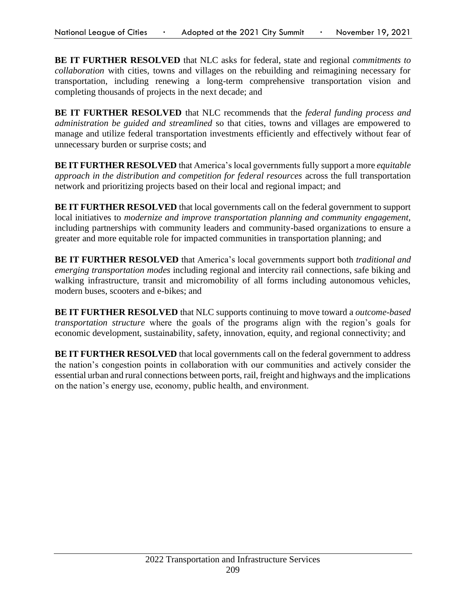**BE IT FURTHER RESOLVED** that NLC asks for federal, state and regional *commitments to collaboration* with cities, towns and villages on the rebuilding and reimagining necessary for transportation, including renewing a long-term comprehensive transportation vision and completing thousands of projects in the next decade; and

**BE IT FURTHER RESOLVED** that NLC recommends that the *federal funding process and administration be guided and streamlined* so that cities, towns and villages are empowered to manage and utilize federal transportation investments efficiently and effectively without fear of unnecessary burden or surprise costs; and

**BE IT FURTHER RESOLVED** that America's local governments fully support a more *equitable approach in the distribution and competition for federal resources* across the full transportation network and prioritizing projects based on their local and regional impact; and

**BE IT FURTHER RESOLVED** that local governments call on the federal government to support local initiatives to *modernize and improve transportation planning and community engagement*, including partnerships with community leaders and community-based organizations to ensure a greater and more equitable role for impacted communities in transportation planning; and

**BE IT FURTHER RESOLVED** that America's local governments support both *traditional and emerging transportation modes* including regional and intercity rail connections, safe biking and walking infrastructure, transit and micromobility of all forms including autonomous vehicles, modern buses, scooters and e-bikes; and

**BE IT FURTHER RESOLVED** that NLC supports continuing to move toward a *outcome-based transportation structure* where the goals of the programs align with the region's goals for economic development, sustainability, safety, innovation, equity, and regional connectivity; and

**BE IT FURTHER RESOLVED** that local governments call on the federal government to address the nation's congestion points in collaboration with our communities and actively consider the essential urban and rural connections between ports, rail, freight and highways and the implications on the nation's energy use, economy, public health, and environment.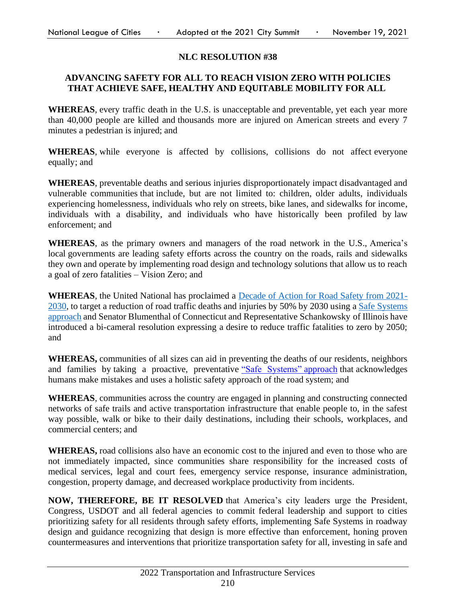### **NLC RESOLUTION #38**

### **ADVANCING SAFETY FOR ALL TO REACH VISION ZERO WITH POLICIES THAT ACHIEVE SAFE, HEALTHY AND EQUITABLE MOBILITY FOR ALL**

**WHEREAS**, every traffic death in the U.S. is unacceptable and preventable, yet each year more than 40,000 people are killed and thousands more are injured on American streets and every 7 minutes a pedestrian is injured; and

**WHEREAS**, while everyone is affected by collisions, collisions do not affect everyone equally; and

**WHEREAS**, preventable deaths and serious injuries disproportionately impact disadvantaged and vulnerable communities that include, but are not limited to: children, older adults, individuals experiencing homelessness, individuals who rely on streets, bike lanes, and sidewalks for income, individuals with a disability, and individuals who have historically been profiled by law enforcement; and

**WHEREAS**, as the primary owners and managers of the road network in the U.S., America's local governments are leading safety efforts across the country on the roads, rails and sidewalks they own and operate by implementing road design and technology solutions that allow us to reach a goal of zero fatalities – Vision Zero; and

**WHEREAS**, the United National has proclaimed a [Decade of Action for Road Safety from 2021-](https://www.who.int/teams/social-determinants-of-health/safety-and-mobility/decade-of-action-for-road-safety-2021-2030) [2030,](https://www.who.int/teams/social-determinants-of-health/safety-and-mobility/decade-of-action-for-road-safety-2021-2030) to target a reduction of road traffic deaths and injuries by 50% by 2030 using a [Safe Systems](https://safety.fhwa.dot.gov/zerodeaths/docs/FHWA_SafeSystem_Brochure_V9_508_200717.pdf)  [approach](https://safety.fhwa.dot.gov/zerodeaths/docs/FHWA_SafeSystem_Brochure_V9_508_200717.pdf) and Senator Blumenthal of Connecticut and Representative Schankowsky of Illinois have introduced a bi-cameral resolution expressing a desire to reduce traffic fatalities to zero by 2050; and

**WHEREAS,** communities of all sizes can aid in preventing the deaths of our residents, neighbors and families by taking a proactive, preventative ["Safe Systems"](https://safety.fhwa.dot.gov/zerodeaths/docs/FHWA_SafeSystem_Brochure_V9_508_200717.pdf) approach that acknowledges humans make mistakes and uses a holistic safety approach of the road system; and

**WHEREAS**, communities across the country are engaged in planning and constructing connected networks of safe trails and active transportation infrastructure that enable people to, in the safest way possible, walk or bike to their daily destinations, including their schools, workplaces, and commercial centers; and

**WHEREAS,** road collisions also have an economic cost to the injured and even to those who are not immediately impacted, since communities share responsibility for the increased costs of medical services, legal and court fees, emergency service response, insurance administration, congestion, property damage, and decreased workplace productivity from incidents.

**NOW, THEREFORE, BE IT RESOLVED** that America's city leaders urge the President, Congress, USDOT and all federal agencies to commit federal leadership and support to cities prioritizing safety for all residents through safety efforts, implementing Safe Systems in roadway design and guidance recognizing that design is more effective than enforcement, honing proven countermeasures and interventions that prioritize transportation safety for all, investing in safe and